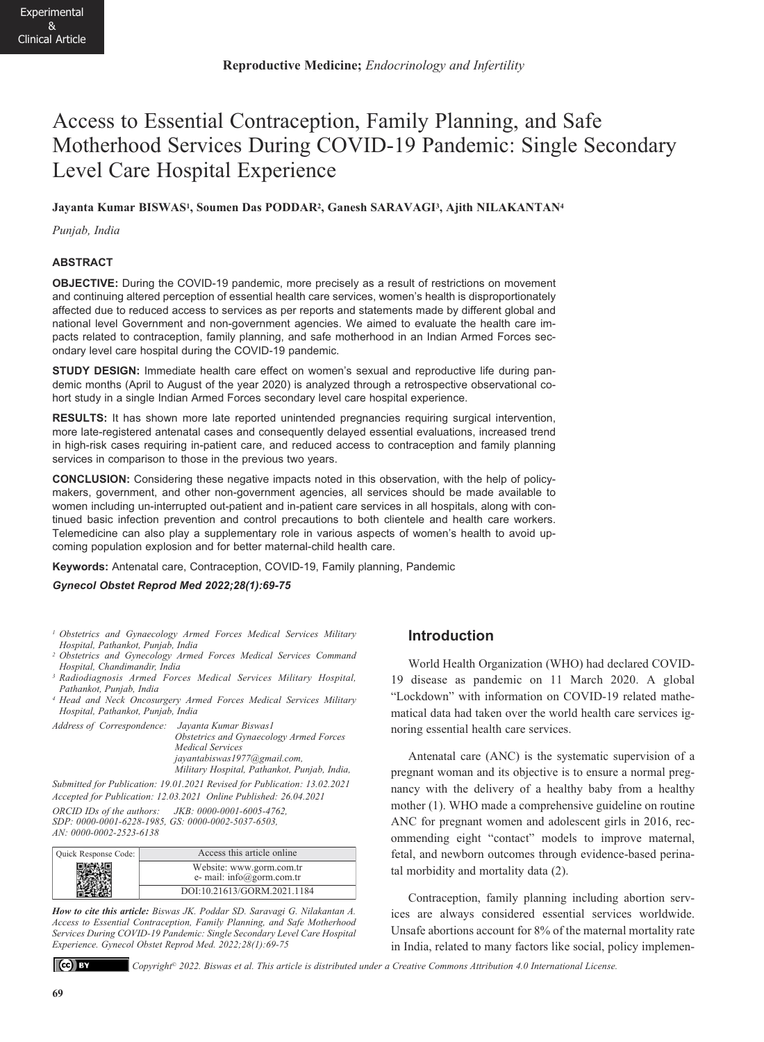# Access to Essential Contraception, Family Planning, and Safe Motherhood Services During COVID-19 Pandemic: Single Secondary Level Care Hospital Experience

## **Jayanta Kumar BISWAS1, Soumen Das PODDAR2, Ganesh SARAVAGI3, Ajith NILAKANTAN4**

*Punjab, India* 

## **ABSTRACT**

**OBJECTIVE:** During the COVID-19 pandemic, more precisely as a result of restrictions on movement and continuing altered perception of essential health care services, women's health is disproportionately affected due to reduced access to services as per reports and statements made by different global and national level Government and non-government agencies. We aimed to evaluate the health care impacts related to contraception, family planning, and safe motherhood in an Indian Armed Forces secondary level care hospital during the COVID-19 pandemic.

**STUDY DESIGN:** Immediate health care effect on women's sexual and reproductive life during pandemic months (April to August of the year 2020) is analyzed through a retrospective observational cohort study in a single Indian Armed Forces secondary level care hospital experience.

**RESULTS:** It has shown more late reported unintended pregnancies requiring surgical intervention, more late-registered antenatal cases and consequently delayed essential evaluations, increased trend in high-risk cases requiring in-patient care, and reduced access to contraception and family planning services in comparison to those in the previous two years.

**CONCLUSION:** Considering these negative impacts noted in this observation, with the help of policymakers, government, and other non-government agencies, all services should be made available to women including un-interrupted out-patient and in-patient care services in all hospitals, along with continued basic infection prevention and control precautions to both clientele and health care workers. Telemedicine can also play a supplementary role in various aspects of women's health to avoid upcoming population explosion and for better maternal-child health care.

**Keywords:** Antenatal care, Contraception, COVID-19, Family planning, Pandemic

*Gynecol Obstet Reprod Med 2022;28(1):69-75*

- *1 Obstetrics and Gynaecology Armed Forces Medical Services Military Hospital, Pathankot, Punjab, India*
- *2 Obstetrics and Gynecology Armed Forces Medical Services Command Hospital, Chandimandir, India*
- *<sup>3</sup> Radiodiagnosis Armed Forces Medical Services Military Hospital, Pathankot, Punjab, India*
- *<sup>4</sup> Head and Neck Oncosurgery Armed Forces Medical Services Military Hospital, Pathankot, Punjab, India*

*Address of Correspondence: Jayanta Kumar Biswas1 Obstetrics and Gynaecology Armed Forces Medical Services jayantabiswas1977@gmail.com, Military Hospital, Pathankot, Punjab, India,* 

*Submitted for Publication: 19.01.2021 Revised for Publication: 13.02.2021 Accepted for Publication: 12.03.2021 Online Published: 26.04.2021 ORCID IDs of the authors: JKB: 0000-0001-6005-4762, SDP: 0000-0001-6228-1985, GS: 0000-0002-5037-6503,* 

*AN: 0000-0002-2523-6138*

| Quick Response Code: | Access this article online                            |
|----------------------|-------------------------------------------------------|
|                      | Website: www.gorm.com.tr<br>e- mail: info@gorm.com.tr |
|                      | DOI:10.21613/GORM.2021.1184                           |

*How to cite this article: Biswas JK. Poddar SD. Saravagi G. Nilakantan A. Access to Essential Contraception, Family Planning, and Safe Motherhood Services During COVID-19 Pandemic: Single Secondary Level Care Hospital Experience. Gynecol Obstet Reprod Med. 2022;28(1):69-75*



*Copyright© 2022. Biswas et al. This article is distributed under a Creative Commons Attribution 4.0 International License.*

# **Introduction**

World Health Organization (WHO) had declared COVID-19 disease as pandemic on 11 March 2020. A global "Lockdown" with information on COVID-19 related mathematical data had taken over the world health care services ignoring essential health care services.

Antenatal care (ANC) is the systematic supervision of a pregnant woman and its objective is to ensure a normal pregnancy with the delivery of a healthy baby from a healthy mother (1). WHO made a comprehensive guideline on routine ANC for pregnant women and adolescent girls in 2016, recommending eight "contact" models to improve maternal, fetal, and newborn outcomes through evidence-based perinatal morbidity and mortality data (2).

Contraception, family planning including abortion services are always considered essential services worldwide. Unsafe abortions account for 8% of the maternal mortality rate in India, related to many factors like social, policy implemen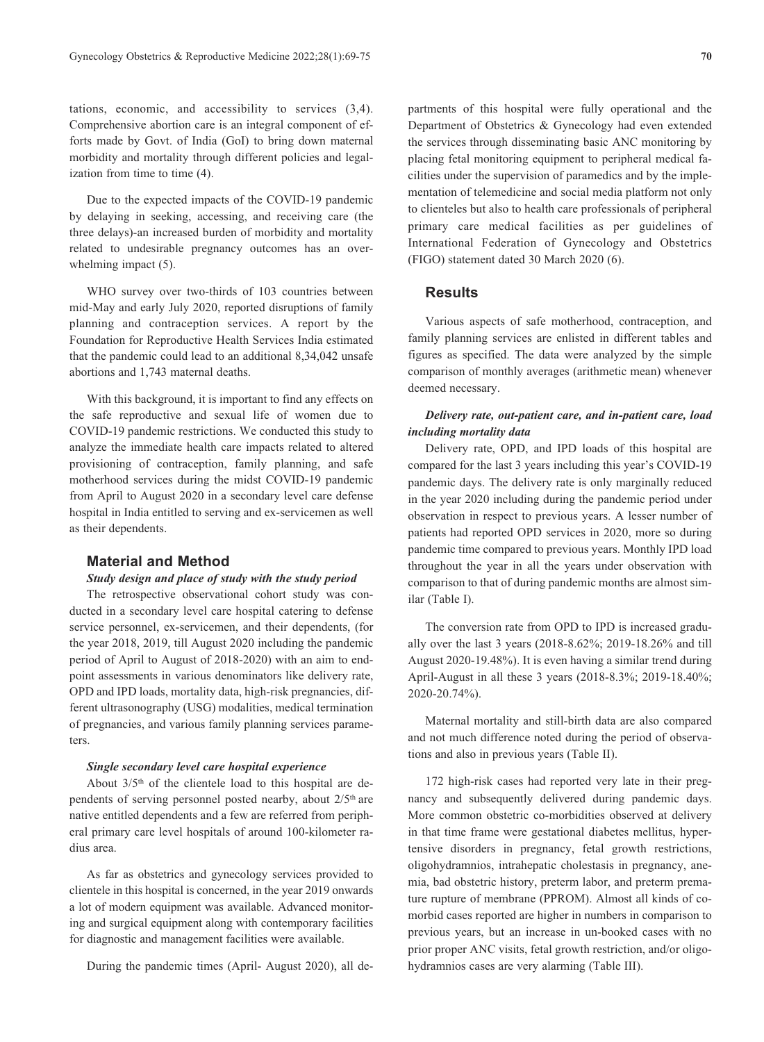tations, economic, and accessibility to services (3,4). Comprehensive abortion care is an integral component of efforts made by Govt. of India (GoI) to bring down maternal morbidity and mortality through different policies and legalization from time to time (4).

Due to the expected impacts of the COVID-19 pandemic by delaying in seeking, accessing, and receiving care (the three delays)-an increased burden of morbidity and mortality related to undesirable pregnancy outcomes has an overwhelming impact  $(5)$ .

WHO survey over two-thirds of 103 countries between mid-May and early July 2020, reported disruptions of family planning and contraception services. A report by the Foundation for Reproductive Health Services India estimated that the pandemic could lead to an additional 8,34,042 unsafe abortions and 1,743 maternal deaths.

With this background, it is important to find any effects on the safe reproductive and sexual life of women due to COVID-19 pandemic restrictions. We conducted this study to analyze the immediate health care impacts related to altered provisioning of contraception, family planning, and safe motherhood services during the midst COVID-19 pandemic from April to August 2020 in a secondary level care defense hospital in India entitled to serving and ex-servicemen as well as their dependents.

## **Material and Method**

## *Study design and place of study with the study period*

The retrospective observational cohort study was conducted in a secondary level care hospital catering to defense service personnel, ex-servicemen, and their dependents, (for the year 2018, 2019, till August 2020 including the pandemic period of April to August of 2018-2020) with an aim to endpoint assessments in various denominators like delivery rate, OPD and IPD loads, mortality data, high-risk pregnancies, different ultrasonography (USG) modalities, medical termination of pregnancies, and various family planning services parameters.

#### *Single secondary level care hospital experience*

About 3/5th of the clientele load to this hospital are dependents of serving personnel posted nearby, about  $2/5<sup>th</sup>$  are native entitled dependents and a few are referred from peripheral primary care level hospitals of around 100-kilometer radius area.

As far as obstetrics and gynecology services provided to clientele in this hospital is concerned, in the year 2019 onwards a lot of modern equipment was available. Advanced monitoring and surgical equipment along with contemporary facilities for diagnostic and management facilities were available.

During the pandemic times (April- August 2020), all de-

partments of this hospital were fully operational and the Department of Obstetrics & Gynecology had even extended the services through disseminating basic ANC monitoring by placing fetal monitoring equipment to peripheral medical facilities under the supervision of paramedics and by the implementation of telemedicine and social media platform not only to clienteles but also to health care professionals of peripheral primary care medical facilities as per guidelines of International Federation of Gynecology and Obstetrics (FIGO) statement dated 30 March 2020 (6).

## **Results**

Various aspects of safe motherhood, contraception, and family planning services are enlisted in different tables and figures as specified. The data were analyzed by the simple comparison of monthly averages (arithmetic mean) whenever deemed necessary.

# *Delivery rate, out-patient care, and in-patient care, load including mortality data*

Delivery rate, OPD, and IPD loads of this hospital are compared for the last 3 years including this year's COVID-19 pandemic days. The delivery rate is only marginally reduced in the year 2020 including during the pandemic period under observation in respect to previous years. A lesser number of patients had reported OPD services in 2020, more so during pandemic time compared to previous years. Monthly IPD load throughout the year in all the years under observation with comparison to that of during pandemic months are almost similar (Table I).

The conversion rate from OPD to IPD is increased gradually over the last 3 years (2018-8.62%; 2019-18.26% and till August 2020-19.48%). It is even having a similar trend during April-August in all these 3 years (2018-8.3%; 2019-18.40%; 2020-20.74%).

Maternal mortality and still-birth data are also compared and not much difference noted during the period of observations and also in previous years (Table II).

172 high-risk cases had reported very late in their pregnancy and subsequently delivered during pandemic days. More common obstetric co-morbidities observed at delivery in that time frame were gestational diabetes mellitus, hypertensive disorders in pregnancy, fetal growth restrictions, oligohydramnios, intrahepatic cholestasis in pregnancy, anemia, bad obstetric history, preterm labor, and preterm premature rupture of membrane (PPROM). Almost all kinds of comorbid cases reported are higher in numbers in comparison to previous years, but an increase in un-booked cases with no prior proper ANC visits, fetal growth restriction, and/or oligohydramnios cases are very alarming (Table III).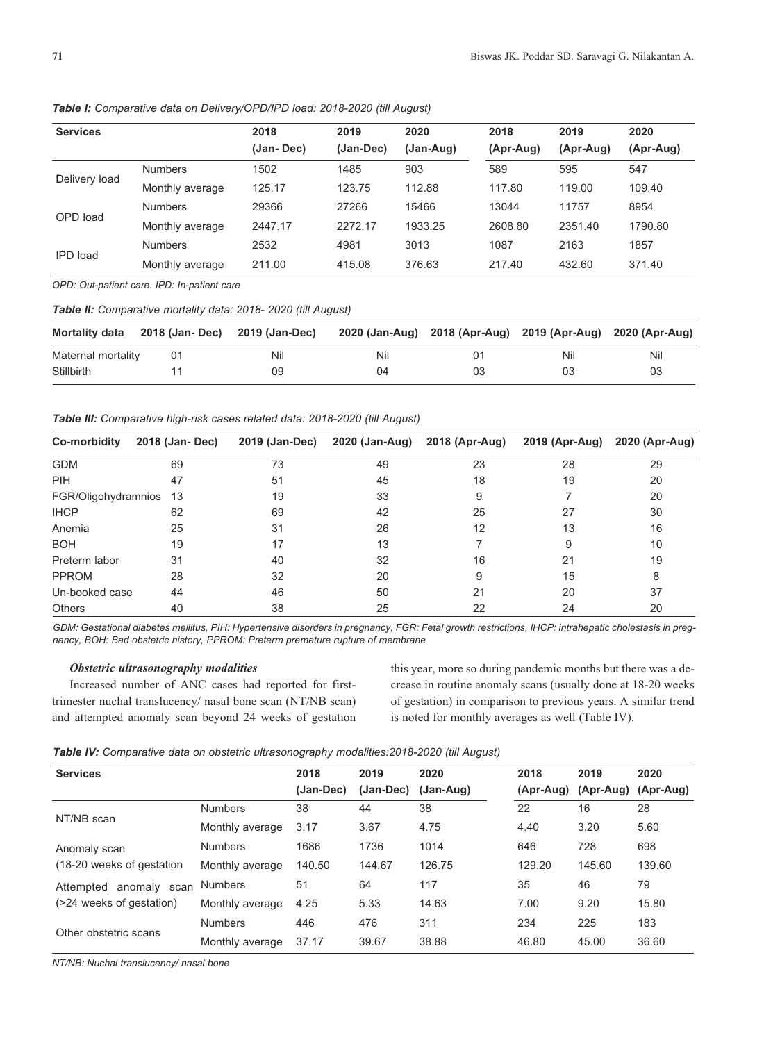| <b>Services</b> |                 | 2018       | 2019      | 2020      | 2018      | 2019      | 2020      |
|-----------------|-----------------|------------|-----------|-----------|-----------|-----------|-----------|
|                 |                 | (Jan- Dec) | (Jan-Dec) | (Jan-Aug) | (Apr-Aug) | (Apr-Aug) | (Apr-Aug) |
| Delivery load   | <b>Numbers</b>  | 1502       | 1485      | 903       | 589       | 595       | 547       |
|                 | Monthly average | 125.17     | 123.75    | 112.88    | 117.80    | 119.00    | 109.40    |
| OPD load        | <b>Numbers</b>  | 29366      | 27266     | 15466     | 13044     | 11757     | 8954      |
|                 | Monthly average | 2447.17    | 2272.17   | 1933.25   | 2608.80   | 2351.40   | 1790.80   |
| IPD load        | <b>Numbers</b>  | 2532       | 4981      | 3013      | 1087      | 2163      | 1857      |
|                 | Monthly average | 211.00     | 415.08    | 376.63    | 217.40    | 432.60    | 371.40    |

*Table I: Comparative data on Delivery/OPD/IPD load: 2018-2020 (till August)*

*OPD: Out-patient care. IPD: In-patient care* 

*Table II: Comparative mortality data: 2018- 2020 (till August)* 

| Mortality data     | 2018 (Jan- Dec) 2019 (Jan-Dec) |     |     | 2020 (Jan-Aug) 2018 (Apr-Aug) 2019 (Apr-Aug) 2020 (Apr-Aug) |     |     |
|--------------------|--------------------------------|-----|-----|-------------------------------------------------------------|-----|-----|
| Maternal mortality | 01                             | Nil | Nil | ()1                                                         | Nil | Nil |
| Stillbirth         |                                | 09  | 04  | 03                                                          | 03  | 03  |

*Table III: Comparative high-risk cases related data: 2018-2020 (till August)* 

| Co-morbidity        | 2018 (Jan-Dec) | 2019 (Jan-Dec) | 2020 (Jan-Aug) | 2018 (Apr-Aug) | 2019 (Apr-Aug) | 2020 (Apr-Aug) |
|---------------------|----------------|----------------|----------------|----------------|----------------|----------------|
| <b>GDM</b>          | 69             | 73             | 49             | 23             | 28             | 29             |
| <b>PIH</b>          | 47             | 51             | 45             | 18             | 19             | 20             |
| FGR/Oligohydramnios | 13             | 19             | 33             | 9              |                | 20             |
| <b>IHCP</b>         | 62             | 69             | 42             | 25             | 27             | 30             |
| Anemia              | 25             | 31             | 26             | 12             | 13             | 16             |
| <b>BOH</b>          | 19             | 17             | 13             |                | 9              | 10             |
| Preterm labor       | 31             | 40             | 32             | 16             | 21             | 19             |
| <b>PPROM</b>        | 28             | 32             | 20             | 9              | 15             | 8              |
| Un-booked case      | 44             | 46             | 50             | 21             | 20             | 37             |
| <b>Others</b>       | 40             | 38             | 25             | 22             | 24             | 20             |

*GDM: Gestational diabetes mellitus, PIH: Hypertensive disorders in pregnancy, FGR: Fetal growth restrictions, IHCP: intrahepatic cholestasis in pregnancy, BOH: Bad obstetric history, PPROM: Preterm premature rupture of membrane* 

# *Obstetric ultrasonography modalities*

Increased number of ANC cases had reported for firsttrimester nuchal translucency/ nasal bone scan (NT/NB scan) and attempted anomaly scan beyond 24 weeks of gestation this year, more so during pandemic months but there was a decrease in routine anomaly scans (usually done at 18-20 weeks of gestation) in comparison to previous years. A similar trend is noted for monthly averages as well (Table IV).

| Table IV: Comparative data on obstetric ultrasonography modalities:2018-2020 (till August) |  |  |  |  |  |
|--------------------------------------------------------------------------------------------|--|--|--|--|--|
|--------------------------------------------------------------------------------------------|--|--|--|--|--|

| <b>Services</b>           |                 | 2018      | 2019      | 2020      | 2018      | 2019      | 2020      |
|---------------------------|-----------------|-----------|-----------|-----------|-----------|-----------|-----------|
|                           |                 | (Jan-Dec) | (Jan-Dec) | (Jan-Aug) | (Apr-Aug) | (Apr-Aug) | (Apr-Aug) |
|                           | <b>Numbers</b>  | 38        | 44        | 38        | 22        | 16        | 28        |
| NT/NB scan                | Monthly average | 3.17      | 3.67      | 4.75      | 4.40      | 3.20      | 5.60      |
| Anomaly scan              | <b>Numbers</b>  | 1686      | 1736      | 1014      | 646       | 728       | 698       |
| (18-20 weeks of gestation | Monthly average | 140.50    | 144.67    | 126.75    | 129.20    | 145.60    | 139.60    |
| Attempted anomaly scan    | <b>Numbers</b>  | 51        | 64        | 117       | 35        | 46        | 79        |
| (>24 weeks of gestation)  | Monthly average | 4.25      | 5.33      | 14.63     | 7.00      | 9.20      | 15.80     |
|                           | <b>Numbers</b>  | 446       | 476       | 311       | 234       | 225       | 183       |
| Other obstetric scans     | Monthly average | 37.17     | 39.67     | 38.88     | 46.80     | 45.00     | 36.60     |

*NT/NB: Nuchal translucency/ nasal bone*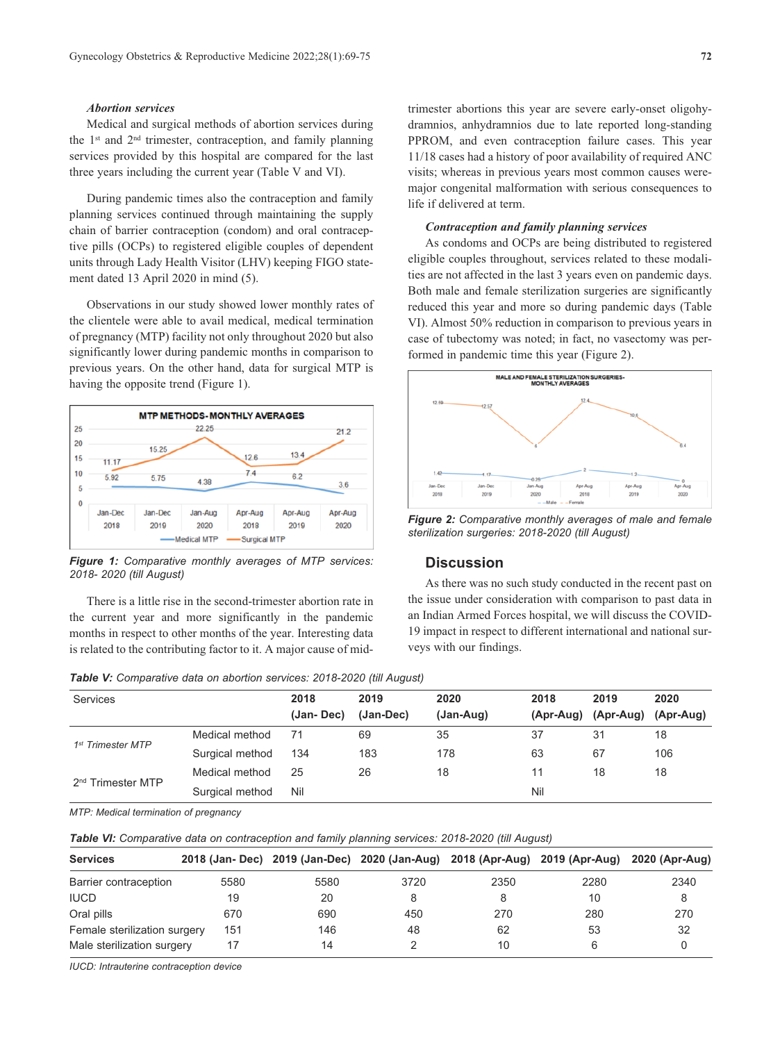## *Abortion services*

Medical and surgical methods of abortion services during the 1st and 2nd trimester, contraception, and family planning services provided by this hospital are compared for the last three years including the current year (Table V and VI).

During pandemic times also the contraception and family planning services continued through maintaining the supply chain of barrier contraception (condom) and oral contraceptive pills (OCPs) to registered eligible couples of dependent units through Lady Health Visitor (LHV) keeping FIGO statement dated 13 April 2020 in mind (5).

Observations in our study showed lower monthly rates of the clientele were able to avail medical, medical termination of pregnancy (MTP) facility not only throughout 2020 but also significantly lower during pandemic months in comparison to previous years. On the other hand, data for surgical MTP is having the opposite trend (Figure 1).



*Figure 1: Comparative monthly averages of MTP services: 2018- 2020 (till August)*

There is a little rise in the second-trimester abortion rate in the current year and more significantly in the pandemic months in respect to other months of the year. Interesting data is related to the contributing factor to it. A major cause of mid-

*Table V: Comparative data on abortion services: 2018-2020 (till August)*

trimester abortions this year are severe early-onset oligohydramnios, anhydramnios due to late reported long-standing PPROM, and even contraception failure cases. This year 11/18 cases had a history of poor availability of required ANC visits; whereas in previous years most common causes weremajor congenital malformation with serious consequences to life if delivered at term.

## *Contraception and family planning services*

As condoms and OCPs are being distributed to registered eligible couples throughout, services related to these modalities are not affected in the last 3 years even on pandemic days. Both male and female sterilization surgeries are significantly reduced this year and more so during pandemic days (Table VI). Almost 50% reduction in comparison to previous years in case of tubectomy was noted; in fact, no vasectomy was performed in pandemic time this year (Figure 2).



*Figure 2: Comparative monthly averages of male and female sterilization surgeries: 2018-2020 (till August)*

# **Discussion**

As there was no such study conducted in the recent past on the issue under consideration with comparison to past data in an Indian Armed Forces hospital, we will discuss the COVID-19 impact in respect to different international and national surveys with our findings.

| Services                      |                 | 2018      | 2019      | 2020      | 2018 | 2019                          | 2020 |
|-------------------------------|-----------------|-----------|-----------|-----------|------|-------------------------------|------|
|                               |                 | (Jan-Dec) | (Jan-Dec) | (Jan-Aug) |      | (Apr-Aug) (Apr-Aug) (Apr-Aug) |      |
| 1 <sup>st</sup> Trimester MTP | Medical method  | 71        | 69        | 35        | 37   | 31                            | 18   |
|                               | Surgical method | 134       | 183       | 178       | 63   | 67                            | 106  |
|                               | Medical method  | 25        | 26        | 18        | 11   | 18                            | 18   |
| 2 <sup>nd</sup> Trimester MTP | Surgical method | Nil       |           |           | Nil  |                               |      |

*MTP: Medical termination of pregnancy*

*Table VI: Comparative data on contraception and family planning services: 2018-2020 (till August)*

| <b>Services</b>              |      |      | 2018 (Jan- Dec) 2019 (Jan-Dec) 2020 (Jan-Aug) 2018 (Apr-Aug) 2019 (Apr-Aug) |      |      | 2020 (Apr-Aug) |
|------------------------------|------|------|-----------------------------------------------------------------------------|------|------|----------------|
| Barrier contraception        | 5580 | 5580 | 3720                                                                        | 2350 | 2280 | 2340           |
| <b>IUCD</b>                  | 19   | 20   |                                                                             |      | 10   |                |
| Oral pills                   | 670  | 690  | 450                                                                         | 270  | 280  | 270            |
| Female sterilization surgery | 151  | 146  | 48                                                                          | 62   | 53   | 32             |
| Male sterilization surgery   |      | 14   |                                                                             | 10   |      |                |

*IUCD: Intrauterine contraception device*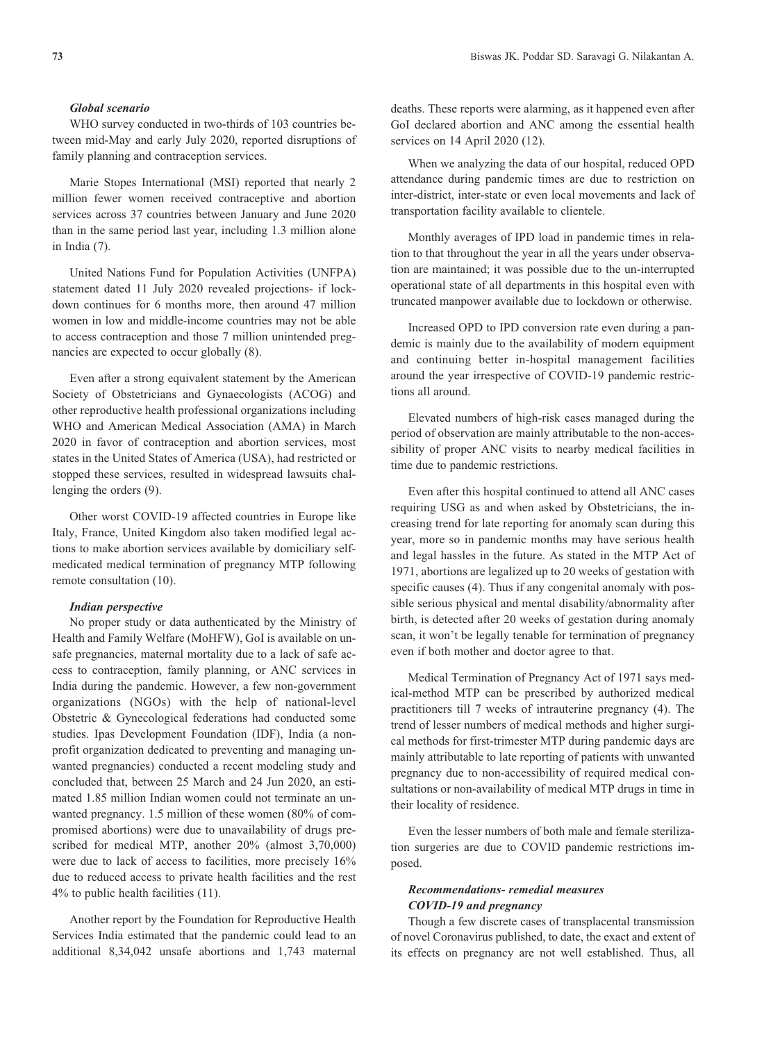## *Global scenario*

WHO survey conducted in two-thirds of 103 countries between mid-May and early July 2020, reported disruptions of family planning and contraception services.

Marie Stopes International (MSI) reported that nearly 2 million fewer women received contraceptive and abortion services across 37 countries between January and June 2020 than in the same period last year, including 1.3 million alone in India (7).

United Nations Fund for Population Activities (UNFPA) statement dated 11 July 2020 revealed projections- if lockdown continues for 6 months more, then around 47 million women in low and middle-income countries may not be able to access contraception and those 7 million unintended pregnancies are expected to occur globally (8).

Even after a strong equivalent statement by the American Society of Obstetricians and Gynaecologists (ACOG) and other reproductive health professional organizations including WHO and American Medical Association (AMA) in March 2020 in favor of contraception and abortion services, most states in the United States of America (USA), had restricted or stopped these services, resulted in widespread lawsuits challenging the orders (9).

Other worst COVID-19 affected countries in Europe like Italy, France, United Kingdom also taken modified legal actions to make abortion services available by domiciliary selfmedicated medical termination of pregnancy MTP following remote consultation (10).

#### *Indian perspective*

No proper study or data authenticated by the Ministry of Health and Family Welfare (MoHFW), GoI is available on unsafe pregnancies, maternal mortality due to a lack of safe access to contraception, family planning, or ANC services in India during the pandemic. However, a few non-government organizations (NGOs) with the help of national-level Obstetric & Gynecological federations had conducted some studies. Ipas Development Foundation (IDF), India (a nonprofit organization dedicated to preventing and managing unwanted pregnancies) conducted a recent modeling study and concluded that, between 25 March and 24 Jun 2020, an estimated 1.85 million Indian women could not terminate an unwanted pregnancy. 1.5 million of these women (80% of compromised abortions) were due to unavailability of drugs prescribed for medical MTP, another 20% (almost 3,70,000) were due to lack of access to facilities, more precisely 16% due to reduced access to private health facilities and the rest 4% to public health facilities (11).

Another report by the Foundation for Reproductive Health Services India estimated that the pandemic could lead to an additional 8,34,042 unsafe abortions and 1,743 maternal deaths. These reports were alarming, as it happened even after GoI declared abortion and ANC among the essential health services on 14 April 2020 (12).

When we analyzing the data of our hospital, reduced OPD attendance during pandemic times are due to restriction on inter-district, inter-state or even local movements and lack of transportation facility available to clientele.

Monthly averages of IPD load in pandemic times in relation to that throughout the year in all the years under observation are maintained; it was possible due to the un-interrupted operational state of all departments in this hospital even with truncated manpower available due to lockdown or otherwise.

Increased OPD to IPD conversion rate even during a pandemic is mainly due to the availability of modern equipment and continuing better in-hospital management facilities around the year irrespective of COVID-19 pandemic restrictions all around.

Elevated numbers of high-risk cases managed during the period of observation are mainly attributable to the non-accessibility of proper ANC visits to nearby medical facilities in time due to pandemic restrictions.

Even after this hospital continued to attend all ANC cases requiring USG as and when asked by Obstetricians, the increasing trend for late reporting for anomaly scan during this year, more so in pandemic months may have serious health and legal hassles in the future. As stated in the MTP Act of 1971, abortions are legalized up to 20 weeks of gestation with specific causes (4). Thus if any congenital anomaly with possible serious physical and mental disability/abnormality after birth, is detected after 20 weeks of gestation during anomaly scan, it won't be legally tenable for termination of pregnancy even if both mother and doctor agree to that.

Medical Termination of Pregnancy Act of 1971 says medical-method MTP can be prescribed by authorized medical practitioners till 7 weeks of intrauterine pregnancy (4). The trend of lesser numbers of medical methods and higher surgical methods for first-trimester MTP during pandemic days are mainly attributable to late reporting of patients with unwanted pregnancy due to non-accessibility of required medical consultations or non-availability of medical MTP drugs in time in their locality of residence.

Even the lesser numbers of both male and female sterilization surgeries are due to COVID pandemic restrictions imposed.

# *Recommendations- remedial measures COVID-19 and pregnancy*

Though a few discrete cases of transplacental transmission of novel Coronavirus published, to date, the exact and extent of its effects on pregnancy are not well established. Thus, all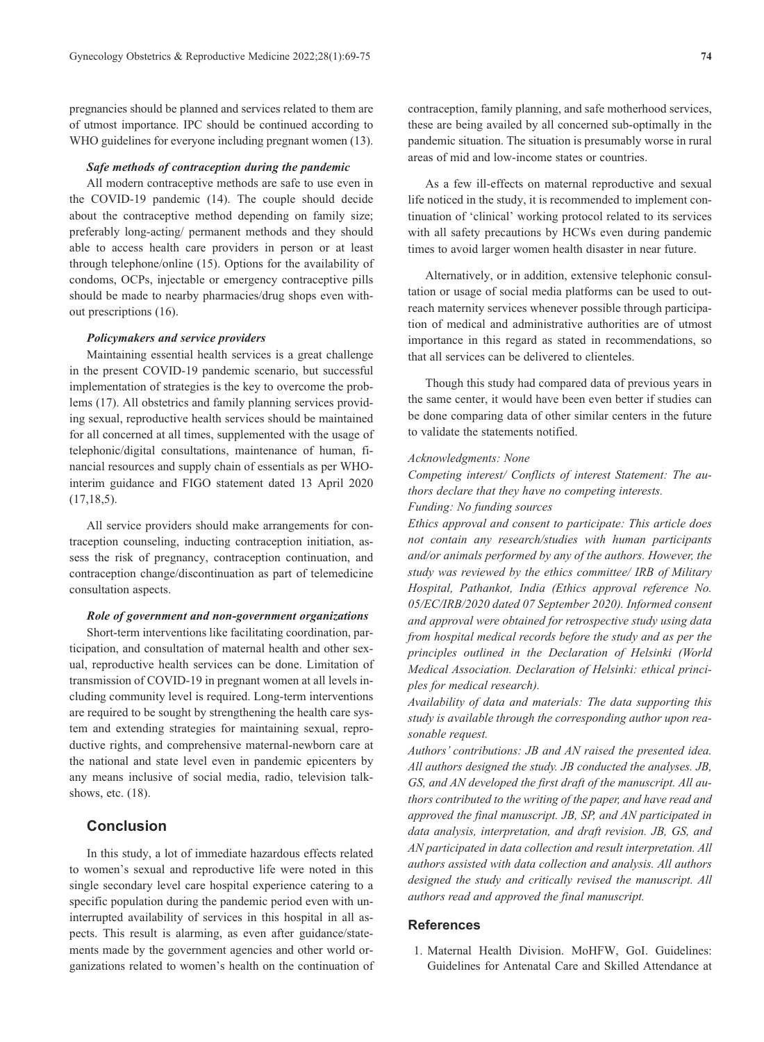pregnancies should be planned and services related to them are of utmost importance. IPC should be continued according to WHO guidelines for everyone including pregnant women (13).

# *Safe methods of contraception during the pandemic*

All modern contraceptive methods are safe to use even in the COVID-19 pandemic (14). The couple should decide about the contraceptive method depending on family size; preferably long-acting/ permanent methods and they should able to access health care providers in person or at least through telephone/online (15). Options for the availability of condoms, OCPs, injectable or emergency contraceptive pills should be made to nearby pharmacies/drug shops even without prescriptions (16).

## *Policymakers and service providers*

Maintaining essential health services is a great challenge in the present COVID-19 pandemic scenario, but successful implementation of strategies is the key to overcome the problems (17). All obstetrics and family planning services providing sexual, reproductive health services should be maintained for all concerned at all times, supplemented with the usage of telephonic/digital consultations, maintenance of human, financial resources and supply chain of essentials as per WHOinterim guidance and FIGO statement dated 13 April 2020  $(17,18,5)$ .

All service providers should make arrangements for contraception counseling, inducting contraception initiation, assess the risk of pregnancy, contraception continuation, and contraception change/discontinuation as part of telemedicine consultation aspects.

#### *Role of government and non-government organizations*

Short-term interventions like facilitating coordination, participation, and consultation of maternal health and other sexual, reproductive health services can be done. Limitation of transmission of COVID-19 in pregnant women at all levels including community level is required. Long-term interventions are required to be sought by strengthening the health care system and extending strategies for maintaining sexual, reproductive rights, and comprehensive maternal-newborn care at the national and state level even in pandemic epicenters by any means inclusive of social media, radio, television talkshows, etc. (18).

## **Conclusion**

In this study, a lot of immediate hazardous effects related to women's sexual and reproductive life were noted in this single secondary level care hospital experience catering to a specific population during the pandemic period even with uninterrupted availability of services in this hospital in all aspects. This result is alarming, as even after guidance/statements made by the government agencies and other world organizations related to women's health on the continuation of contraception, family planning, and safe motherhood services, these are being availed by all concerned sub-optimally in the pandemic situation. The situation is presumably worse in rural areas of mid and low-income states or countries.

As a few ill-effects on maternal reproductive and sexual life noticed in the study, it is recommended to implement continuation of 'clinical' working protocol related to its services with all safety precautions by HCWs even during pandemic times to avoid larger women health disaster in near future.

Alternatively, or in addition, extensive telephonic consultation or usage of social media platforms can be used to outreach maternity services whenever possible through participation of medical and administrative authorities are of utmost importance in this regard as stated in recommendations, so that all services can be delivered to clienteles.

Though this study had compared data of previous years in the same center, it would have been even better if studies can be done comparing data of other similar centers in the future to validate the statements notified.

## *Acknowledgments: None*

*Competing interest/ Conflicts of interest Statement: The authors declare that they have no competing interests. Funding: No funding sources* 

*Ethics approval and consent to participate: This article does not contain any research/studies with human participants and/or animals performed by any of the authors. However, the study was reviewed by the ethics committee/ IRB of Military Hospital, Pathankot, India (Ethics approval reference No. 05/EC/IRB/2020 dated 07 September 2020). Informed consent and approval were obtained for retrospective study using data from hospital medical records before the study and as per the principles outlined in the Declaration of Helsinki (World Medical Association. Declaration of Helsinki: ethical principles for medical research).* 

*Availability of data and materials: The data supporting this study is available through the corresponding author upon reasonable request.* 

*Authors' contributions: JB and AN raised the presented idea. All authors designed the study. JB conducted the analyses. JB, GS, and AN developed the first draft of the manuscript. All authors contributed to the writing of the paper, and have read and approved the final manuscript. JB, SP, and AN participated in data analysis, interpretation, and draft revision. JB, GS, and AN participated in data collection and result interpretation. All authors assisted with data collection and analysis. All authors designed the study and critically revised the manuscript. All authors read and approved the final manuscript.*

# **References**

1. Maternal Health Division. MoHFW, GoI. Guidelines: Guidelines for Antenatal Care and Skilled Attendance at